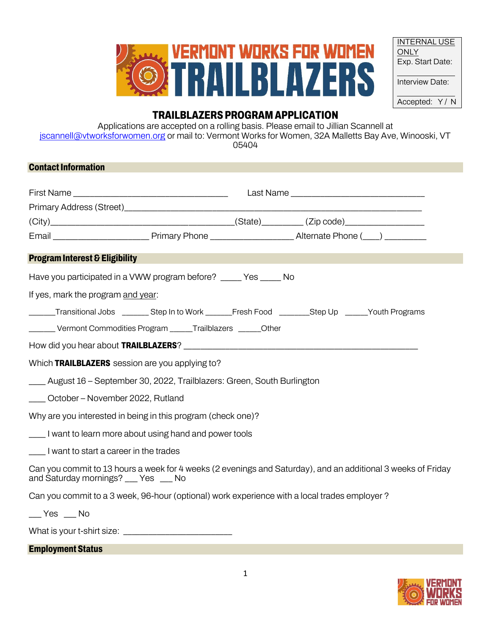

| <b>INTERNAL USE</b>  |
|----------------------|
| <b>ONLY</b>          |
| Exp. Start Date:     |
|                      |
|                      |
| Interview Date:      |
|                      |
| Accepted:<br>Y/<br>N |

# **TRAILBLAZERS PROGRAM APPLICATION**

Applications are accepted on a rolling basis. Please email to Jillian Scannell at [jscannell@vtworksforwomen.org](mailto:jscannell@vtworksforwomen.org) or mail to: Vermont Works for Women, 32A Malletts Bay Ave, Winooski, VT 05404

## **Contact Information**

| <b>Program Interest &amp; Eligibility</b>                                                                                                             |  |
|-------------------------------------------------------------------------------------------------------------------------------------------------------|--|
| Have you participated in a VWW program before? _____ Yes _____ No                                                                                     |  |
| If yes, mark the program and year:                                                                                                                    |  |
| ______Transitional Jobs ________ Step In to Work _______Fresh Food ________Step Up ______Youth Programs                                               |  |
| ________ Vermont Commodities Program ______Trailblazers ______Other                                                                                   |  |
|                                                                                                                                                       |  |
| Which TRAILBLAZERS session are you applying to?                                                                                                       |  |
| ___ August 16 - September 30, 2022, Trailblazers: Green, South Burlington                                                                             |  |
| ____ October - November 2022, Rutland                                                                                                                 |  |
| Why are you interested in being in this program (check one)?                                                                                          |  |
| I want to learn more about using hand and power tools                                                                                                 |  |
| ____ I want to start a career in the trades                                                                                                           |  |
| Can you commit to 13 hours a week for 4 weeks (2 evenings and Saturday), and an additional 3 weeks of Friday<br>and Saturday mornings? ___ Yes ___ No |  |
| Can you commit to a 3 week, 96-hour (optional) work experience with a local trades employer?                                                          |  |
| $Yes$ Mo                                                                                                                                              |  |

What is your t-shirt size:

#### **Employment Status**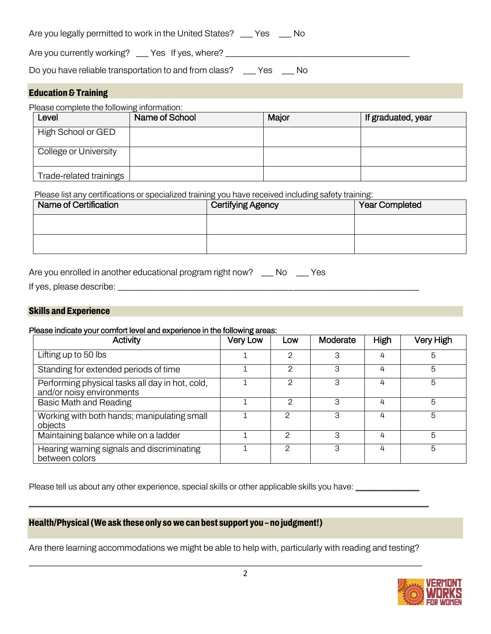| Are you legally permitted to work in the United States? | Yes | No. |
|---------------------------------------------------------|-----|-----|
|---------------------------------------------------------|-----|-----|

Are you currently working? \_\_\_ Yes If yes, where? \_\_\_\_\_\_\_\_\_\_\_\_\_\_\_\_\_\_\_\_\_\_\_\_\_\_\_\_\_\_\_

Do you have reliable transportation to and from class? \_\_\_ Yes \_\_\_ No

#### **Education & Training**

Please complete the following information:

| Level                   | Name of School | Major | If graduated, year |
|-------------------------|----------------|-------|--------------------|
| High School or GED      |                |       |                    |
| College or University   |                |       |                    |
| Trade-related trainings |                |       |                    |

Please list any certifications or specialized training you have received including safety training:

| Name of Certification | <b>Certifying Agency</b> | <b>Year Completed</b> |  |  |
|-----------------------|--------------------------|-----------------------|--|--|
|                       |                          |                       |  |  |
|                       |                          |                       |  |  |

Are you enrolled in another educational program right now? \_\_ No \_\_ Yes

If yes, please describe: \_\_\_\_\_\_\_\_\_\_\_\_\_\_\_\_\_\_\_\_\_\_\_\_\_\_\_\_\_\_\_\_\_\_\_\_\_\_\_\_\_\_\_\_\_\_\_\_\_\_\_\_\_\_\_\_\_\_\_\_\_\_\_\_\_\_\_\_\_\_\_\_

#### **Skills and Experience**

#### Please indicate your comfort level and experience in the following areas:

| <b>Activity</b>                                                              | <b>Very Low</b> | Low | Moderate | High | <b>Very High</b> |
|------------------------------------------------------------------------------|-----------------|-----|----------|------|------------------|
| Lifting up to 50 lbs                                                         |                 | 2   | 3        | 4    | 5                |
| Standing for extended periods of time                                        |                 | 2   | 3        | 4    | 5                |
| Performing physical tasks all day in hot, cold,<br>and/or noisy environments |                 | 2   | З        | 4    | 5                |
| <b>Basic Math and Reading</b>                                                |                 | 2   | З        | 4    | 5                |
| Working with both hands; manipulating small<br>objects                       |                 | 2   | З        | 4    | 5                |
| Maintaining balance while on a ladder                                        |                 |     | З        | 4    | 5                |
| Hearing warning signals and discriminating<br>between colors                 |                 | ⌒   | 3        | 4    | 5                |

Please tell us about any other experience, special skills or other applicable skills you have: \_\_\_\_\_\_\_\_\_\_\_\_\_\_\_

### **Health/Physical (We ask these only so we can best support you – no judgment!)**

Are there learning accommodations we might be able to help with, particularly with reading and testing? \_\_\_\_\_\_\_\_\_\_\_\_\_\_\_\_\_\_\_\_\_\_\_\_\_\_\_\_\_\_\_\_\_\_\_\_\_\_\_\_\_\_\_\_\_\_\_\_\_\_\_\_\_\_\_\_\_\_\_\_\_\_\_\_\_\_\_\_\_\_\_\_\_\_\_\_\_\_\_\_\_\_\_\_\_\_\_\_\_\_\_\_\_\_

\_\_\_\_\_\_\_\_\_\_\_\_\_\_\_\_\_\_\_\_\_\_\_\_\_\_\_\_\_\_\_\_\_\_\_\_\_\_\_\_\_\_\_\_\_\_\_\_\_\_\_\_\_\_\_\_\_\_\_\_\_\_\_\_\_\_\_\_\_\_\_\_\_\_\_\_\_\_\_\_\_\_\_\_\_\_\_\_\_\_\_\_\_\_\_\_\_\_\_\_